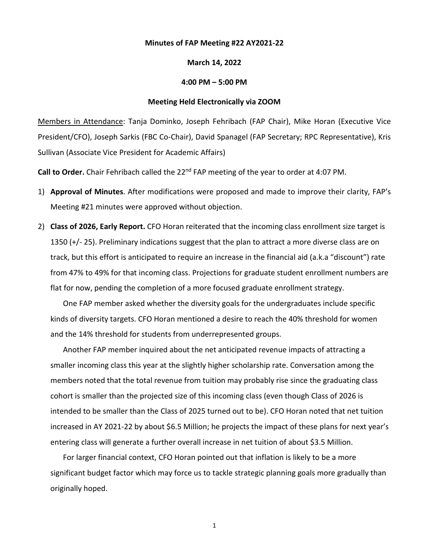## **Minutes of FAP Meeting #22 AY2021-22**

## **March 14, 2022**

## **4:00 PM – 5:00 PM**

## **Meeting Held Electronically via ZOOM**

Members in Attendance: Tanja Dominko, Joseph Fehribach (FAP Chair), Mike Horan (Executive Vice President/CFO), Joseph Sarkis (FBC Co-Chair), David Spanagel (FAP Secretary; RPC Representative), Kris Sullivan (Associate Vice President for Academic Affairs)

Call to Order. Chair Fehribach called the 22<sup>nd</sup> FAP meeting of the year to order at 4:07 PM.

- 1) **Approval of Minutes**. After modifications were proposed and made to improve their clarity, FAP's Meeting #21 minutes were approved without objection.
- 2) **Class of 2026, Early Report.** CFO Horan reiterated that the incoming class enrollment size target is 1350 (+/- 25). Preliminary indications suggest that the plan to attract a more diverse class are on track, but this effort is anticipated to require an increase in the financial aid (a.k.a "discount") rate from 47% to 49% for that incoming class. Projections for graduate student enrollment numbers are flat for now, pending the completion of a more focused graduate enrollment strategy.

One FAP member asked whether the diversity goals for the undergraduates include specific kinds of diversity targets. CFO Horan mentioned a desire to reach the 40% threshold for women and the 14% threshold for students from underrepresented groups.

Another FAP member inquired about the net anticipated revenue impacts of attracting a smaller incoming class this year at the slightly higher scholarship rate. Conversation among the members noted that the total revenue from tuition may probably rise since the graduating class cohort is smaller than the projected size of this incoming class (even though Class of 2026 is intended to be smaller than the Class of 2025 turned out to be). CFO Horan noted that net tuition increased in AY 2021-22 by about \$6.5 Million; he projects the impact of these plans for next year's entering class will generate a further overall increase in net tuition of about \$3.5 Million.

For larger financial context, CFO Horan pointed out that inflation is likely to be a more significant budget factor which may force us to tackle strategic planning goals more gradually than originally hoped.

1